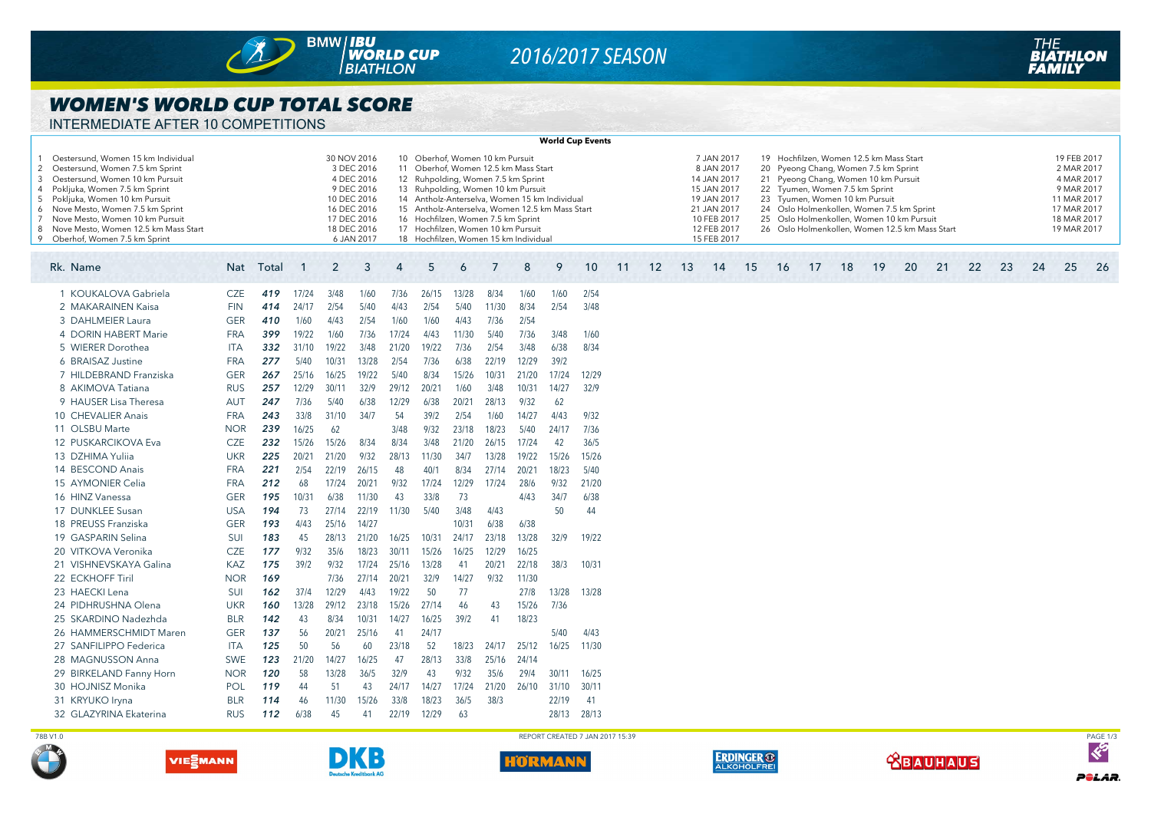

# *2016/2017 SEASON*

### *WOMEN'S WORLD CUP TOTAL SCORE*

INTERMEDIATE AFTER 10 COMPETITIONS

| <b>World Cup Events</b>                                                                                                                                                                                                                                                                                                                   |            |       |             |                |                                                                                                                                 |                      |       |                                                                                                                                                                                |       |       |                                                                                                                                                                                |                                 |    |    |    |                                                                                                                                   |    |                                                                                                                                                                                                                                                                                                                                         |    |    |    |    |    |    |    |    |                                                                                                                   |          |  |
|-------------------------------------------------------------------------------------------------------------------------------------------------------------------------------------------------------------------------------------------------------------------------------------------------------------------------------------------|------------|-------|-------------|----------------|---------------------------------------------------------------------------------------------------------------------------------|----------------------|-------|--------------------------------------------------------------------------------------------------------------------------------------------------------------------------------|-------|-------|--------------------------------------------------------------------------------------------------------------------------------------------------------------------------------|---------------------------------|----|----|----|-----------------------------------------------------------------------------------------------------------------------------------|----|-----------------------------------------------------------------------------------------------------------------------------------------------------------------------------------------------------------------------------------------------------------------------------------------------------------------------------------------|----|----|----|----|----|----|----|----|-------------------------------------------------------------------------------------------------------------------|----------|--|
| Oestersund, Women 15 km Individual<br>2 Oestersund, Women 7.5 km Sprint<br>Oestersund, Women 10 km Pursuit<br>3<br>4 Pokljuka, Women 7.5 km Sprint<br>5 Pokljuka, Women 10 km Pursuit<br>Nove Mesto, Women 7.5 km Sprint<br>7 Nove Mesto, Women 10 km Pursuit<br>8 Nove Mesto, Women 12.5 km Mass Start<br>9 Oberhof, Women 7.5 km Sprint |            |       |             |                | 30 NOV 2016<br>3 DEC 2016<br>4 DEC 2016<br>9 DEC 2016<br>10 DEC 2016<br>16 DEC 2016<br>17 DEC 2016<br>18 DEC 2016<br>6 JAN 2017 | 10<br>11<br>12<br>16 |       | Oberhof, Women 10 km Pursuit<br>Ruhpolding, Women 7.5 km Sprint<br>13 Ruhpolding, Women 10 km Pursuit<br>Hochfilzen, Women 7.5 km Sprint<br>17 Hochfilzen, Women 10 km Pursuit |       |       | Oberhof, Women 12.5 km Mass Start<br>14 Antholz-Anterselva, Women 15 km Individual<br>15 Antholz-Anterselva, Women 12.5 km Mass Start<br>18 Hochfilzen, Women 15 km Individual |                                 |    |    |    | 7 JAN 2017<br>8 JAN 2017<br>14 JAN 2017<br>15 JAN 2017<br>19 JAN 2017<br>21 JAN 2017<br>10 FEB 2017<br>12 FEB 2017<br>15 FEB 2017 |    | 19 Hochfilzen, Women 12.5 km Mass Start<br>20 Pyeong Chang, Women 7.5 km Sprint<br>21 Pyeong Chang, Women 10 km Pursuit<br>22 Tyumen, Women 7.5 km Sprint<br>23 Tyumen, Women 10 km Pursuit<br>24 Oslo Holmenkollen, Women 7.5 km Sprint<br>25 Oslo Holmenkollen, Women 10 km Pursuit<br>26 Oslo Holmenkollen, Women 12.5 km Mass Start |    |    |    |    |    |    |    |    | 19 FEB 2017<br>2 MAR 2017<br>4 MAR 2017<br>9 MAR 2017<br>11 MAR 2017<br>17 MAR 2017<br>18 MAR 2017<br>19 MAR 2017 |          |  |
| Rk. Name                                                                                                                                                                                                                                                                                                                                  | Nat        | Total | $\mathbf 1$ | $\overline{2}$ | 3                                                                                                                               | $\overline{4}$       | 5     | 6                                                                                                                                                                              | 7     | 8     | 9                                                                                                                                                                              | 10                              | 11 | 12 | 13 | 14                                                                                                                                | 15 | 16                                                                                                                                                                                                                                                                                                                                      | 17 | 18 | 19 | 20 | 21 | 22 | 23 | 24 | 25                                                                                                                | 26       |  |
| 1 KOUKALOVA Gabriela                                                                                                                                                                                                                                                                                                                      | <b>CZE</b> | 419   | 17/24       | 3/48           | 1/60                                                                                                                            | 7/36                 | 26/15 | 13/28                                                                                                                                                                          | 8/34  | 1/60  | 1/60                                                                                                                                                                           | 2/54                            |    |    |    |                                                                                                                                   |    |                                                                                                                                                                                                                                                                                                                                         |    |    |    |    |    |    |    |    |                                                                                                                   |          |  |
| 2 MAKARAINEN Kaisa                                                                                                                                                                                                                                                                                                                        | <b>FIN</b> | 414   | 24/17       | 2/54           | 5/40                                                                                                                            | 4/43                 | 2/54  | 5/40                                                                                                                                                                           | 11/30 | 8/34  | 2/54                                                                                                                                                                           | 3/48                            |    |    |    |                                                                                                                                   |    |                                                                                                                                                                                                                                                                                                                                         |    |    |    |    |    |    |    |    |                                                                                                                   |          |  |
| 3 DAHLMEIER Laura                                                                                                                                                                                                                                                                                                                         | <b>GER</b> | 410   | 1/60        | 4/43           | 2/54                                                                                                                            | 1/60                 | 1/60  | 4/43                                                                                                                                                                           | 7/36  | 2/54  |                                                                                                                                                                                |                                 |    |    |    |                                                                                                                                   |    |                                                                                                                                                                                                                                                                                                                                         |    |    |    |    |    |    |    |    |                                                                                                                   |          |  |
| 4 DORIN HABERT Marie                                                                                                                                                                                                                                                                                                                      | <b>FRA</b> | 399   | 19/22       | 1/60           | 7/36                                                                                                                            | 17/24                | 4/43  | 11/30                                                                                                                                                                          | 5/40  | 7/36  | 3/48                                                                                                                                                                           | 1/60                            |    |    |    |                                                                                                                                   |    |                                                                                                                                                                                                                                                                                                                                         |    |    |    |    |    |    |    |    |                                                                                                                   |          |  |
| 5 WIERER Dorothea                                                                                                                                                                                                                                                                                                                         | <b>ITA</b> | 332   | 31/10       | 19/22          | 3/48                                                                                                                            | 21/20                | 19/22 | 7/36                                                                                                                                                                           | 2/54  | 3/48  | 6/38                                                                                                                                                                           | 8/34                            |    |    |    |                                                                                                                                   |    |                                                                                                                                                                                                                                                                                                                                         |    |    |    |    |    |    |    |    |                                                                                                                   |          |  |
| 6 BRAISAZ Justine                                                                                                                                                                                                                                                                                                                         | <b>FRA</b> | 277   | 5/40        | 10/31          | 13/28                                                                                                                           | 2/54                 | 7/36  | 6/38                                                                                                                                                                           | 22/19 | 12/29 | 39/2                                                                                                                                                                           |                                 |    |    |    |                                                                                                                                   |    |                                                                                                                                                                                                                                                                                                                                         |    |    |    |    |    |    |    |    |                                                                                                                   |          |  |
| 7 HILDEBRAND Franziska                                                                                                                                                                                                                                                                                                                    | <b>GER</b> | 267   | 25/16       | 16/25          | 19/22                                                                                                                           | 5/40                 | 8/34  | 15/26                                                                                                                                                                          | 10/31 | 21/20 | 17/24                                                                                                                                                                          | 12/29                           |    |    |    |                                                                                                                                   |    |                                                                                                                                                                                                                                                                                                                                         |    |    |    |    |    |    |    |    |                                                                                                                   |          |  |
| 8 AKIMOVA Tatiana                                                                                                                                                                                                                                                                                                                         | <b>RUS</b> | 257   | 12/29       | 30/11          | 32/9                                                                                                                            | 29/12                | 20/21 | 1/60                                                                                                                                                                           | 3/48  | 10/31 | 14/27                                                                                                                                                                          | 32/9                            |    |    |    |                                                                                                                                   |    |                                                                                                                                                                                                                                                                                                                                         |    |    |    |    |    |    |    |    |                                                                                                                   |          |  |
| 9 HAUSER Lisa Theresa                                                                                                                                                                                                                                                                                                                     | <b>AUT</b> | 247   | 7/36        | 5/40           | 6/38                                                                                                                            | 12/29                | 6/38  | 20/21                                                                                                                                                                          | 28/13 | 9/32  | 62                                                                                                                                                                             |                                 |    |    |    |                                                                                                                                   |    |                                                                                                                                                                                                                                                                                                                                         |    |    |    |    |    |    |    |    |                                                                                                                   |          |  |
| 10 CHEVALIER Anais                                                                                                                                                                                                                                                                                                                        | <b>FRA</b> | 243   | 33/8        | 31/10          | 34/7                                                                                                                            | 54                   | 39/2  | 2/54                                                                                                                                                                           | 1/60  | 14/27 | 4/43                                                                                                                                                                           | 9/32                            |    |    |    |                                                                                                                                   |    |                                                                                                                                                                                                                                                                                                                                         |    |    |    |    |    |    |    |    |                                                                                                                   |          |  |
| 11 OLSBU Marte                                                                                                                                                                                                                                                                                                                            | <b>NOR</b> | 239   | 16/25       | 62             |                                                                                                                                 | 3/48                 | 9/32  | 23/18                                                                                                                                                                          | 18/23 | 5/40  | 24/17                                                                                                                                                                          | 7/36                            |    |    |    |                                                                                                                                   |    |                                                                                                                                                                                                                                                                                                                                         |    |    |    |    |    |    |    |    |                                                                                                                   |          |  |
| 12 PUSKARCIKOVA Eva                                                                                                                                                                                                                                                                                                                       | <b>CZE</b> | 232   | 15/26       | 15/26          | 8/34                                                                                                                            | 8/34                 | 3/48  | 21/20                                                                                                                                                                          | 26/15 | 17/24 | 42                                                                                                                                                                             | 36/5                            |    |    |    |                                                                                                                                   |    |                                                                                                                                                                                                                                                                                                                                         |    |    |    |    |    |    |    |    |                                                                                                                   |          |  |
| 13 DZHIMA Yulija                                                                                                                                                                                                                                                                                                                          | <b>UKR</b> | 225   | 20/21       | 21/20          | 9/32                                                                                                                            | 28/13                | 11/30 | 34/7                                                                                                                                                                           | 13/28 | 19/22 | 15/26                                                                                                                                                                          | 15/26                           |    |    |    |                                                                                                                                   |    |                                                                                                                                                                                                                                                                                                                                         |    |    |    |    |    |    |    |    |                                                                                                                   |          |  |
| 14 BESCOND Anais                                                                                                                                                                                                                                                                                                                          | <b>FRA</b> | 221   | 2/54        | 22/19          | 26/15                                                                                                                           | 48                   | 40/1  | 8/34                                                                                                                                                                           | 27/14 | 20/21 | 18/23                                                                                                                                                                          | 5/40                            |    |    |    |                                                                                                                                   |    |                                                                                                                                                                                                                                                                                                                                         |    |    |    |    |    |    |    |    |                                                                                                                   |          |  |
| 15 AYMONIER Celia                                                                                                                                                                                                                                                                                                                         | <b>FRA</b> | 212   | 68          | 17/24          | 20/21                                                                                                                           | 9/32                 | 17/24 | 12/29                                                                                                                                                                          | 17/24 | 28/6  | 9/32                                                                                                                                                                           | 21/20                           |    |    |    |                                                                                                                                   |    |                                                                                                                                                                                                                                                                                                                                         |    |    |    |    |    |    |    |    |                                                                                                                   |          |  |
| 16 HINZ Vanessa                                                                                                                                                                                                                                                                                                                           | <b>GER</b> | 195   | 10/31       | 6/38           | 11/30                                                                                                                           | 43                   | 33/8  | 73                                                                                                                                                                             |       | 4/43  | 34/7                                                                                                                                                                           | 6/38                            |    |    |    |                                                                                                                                   |    |                                                                                                                                                                                                                                                                                                                                         |    |    |    |    |    |    |    |    |                                                                                                                   |          |  |
| 17 DUNKLEE Susan                                                                                                                                                                                                                                                                                                                          | <b>USA</b> | 194   | 73          | 27/14          | 22/19                                                                                                                           | 11/30                | 5/40  | 3/48                                                                                                                                                                           | 4/43  |       | 50                                                                                                                                                                             | 44                              |    |    |    |                                                                                                                                   |    |                                                                                                                                                                                                                                                                                                                                         |    |    |    |    |    |    |    |    |                                                                                                                   |          |  |
| 18 PREUSS Franziska                                                                                                                                                                                                                                                                                                                       | <b>GER</b> | 193   | 4/43        | 25/16          | 14/27                                                                                                                           |                      |       | 10/31                                                                                                                                                                          | 6/38  | 6/38  |                                                                                                                                                                                |                                 |    |    |    |                                                                                                                                   |    |                                                                                                                                                                                                                                                                                                                                         |    |    |    |    |    |    |    |    |                                                                                                                   |          |  |
| 19 GASPARIN Selina                                                                                                                                                                                                                                                                                                                        | SUI        | 183   | 45          | 28/13          | 21/20                                                                                                                           | 16/25                | 10/31 | 24/17                                                                                                                                                                          | 23/18 | 13/28 | 32/9                                                                                                                                                                           | 19/22                           |    |    |    |                                                                                                                                   |    |                                                                                                                                                                                                                                                                                                                                         |    |    |    |    |    |    |    |    |                                                                                                                   |          |  |
| 20 VITKOVA Veronika                                                                                                                                                                                                                                                                                                                       | <b>CZE</b> | 177   | 9/32        | 35/6           | 18/23                                                                                                                           | 30/11                | 15/26 | 16/25                                                                                                                                                                          | 12/29 | 16/25 |                                                                                                                                                                                |                                 |    |    |    |                                                                                                                                   |    |                                                                                                                                                                                                                                                                                                                                         |    |    |    |    |    |    |    |    |                                                                                                                   |          |  |
| 21 VISHNEVSKAYA Galina                                                                                                                                                                                                                                                                                                                    | <b>KAZ</b> | 175   | 39/2        | 9/32           | 17/24                                                                                                                           | 25/16                | 13/28 | 41                                                                                                                                                                             | 20/21 | 22/18 | 38/3                                                                                                                                                                           | 10/31                           |    |    |    |                                                                                                                                   |    |                                                                                                                                                                                                                                                                                                                                         |    |    |    |    |    |    |    |    |                                                                                                                   |          |  |
| 22 ECKHOFF Tiril                                                                                                                                                                                                                                                                                                                          | <b>NOR</b> | 169   |             | 7/36           | 27/14                                                                                                                           | 20/21                | 32/9  | 14/27                                                                                                                                                                          | 9/32  | 11/30 |                                                                                                                                                                                |                                 |    |    |    |                                                                                                                                   |    |                                                                                                                                                                                                                                                                                                                                         |    |    |    |    |    |    |    |    |                                                                                                                   |          |  |
| 23 HAECKI Lena                                                                                                                                                                                                                                                                                                                            | <b>SUI</b> | 162   | 37/4        | 12/29          | 4/43                                                                                                                            | 19/22                | 50    | 77                                                                                                                                                                             |       | 27/8  | 13/28                                                                                                                                                                          | 13/28                           |    |    |    |                                                                                                                                   |    |                                                                                                                                                                                                                                                                                                                                         |    |    |    |    |    |    |    |    |                                                                                                                   |          |  |
| 24 PIDHRUSHNA Olena                                                                                                                                                                                                                                                                                                                       | <b>UKR</b> | 160   | 13/28       | 29/12          | 23/18                                                                                                                           | 15/26                | 27/14 | 46                                                                                                                                                                             | 43    | 15/26 | 7/36                                                                                                                                                                           |                                 |    |    |    |                                                                                                                                   |    |                                                                                                                                                                                                                                                                                                                                         |    |    |    |    |    |    |    |    |                                                                                                                   |          |  |
| 25 SKARDINO Nadezhda                                                                                                                                                                                                                                                                                                                      | <b>BLR</b> | 142   | 43          | 8/34           | 10/31                                                                                                                           | 14/27                | 16/25 | 39/2                                                                                                                                                                           | 41    | 18/23 |                                                                                                                                                                                |                                 |    |    |    |                                                                                                                                   |    |                                                                                                                                                                                                                                                                                                                                         |    |    |    |    |    |    |    |    |                                                                                                                   |          |  |
| 26 HAMMERSCHMIDT Maren                                                                                                                                                                                                                                                                                                                    | <b>GER</b> | 137   | 56          | 20/21          | 25/16                                                                                                                           | 41                   | 24/17 |                                                                                                                                                                                |       |       | 5/40                                                                                                                                                                           | 4/43                            |    |    |    |                                                                                                                                   |    |                                                                                                                                                                                                                                                                                                                                         |    |    |    |    |    |    |    |    |                                                                                                                   |          |  |
| 27 SANFILIPPO Federica                                                                                                                                                                                                                                                                                                                    | <b>ITA</b> | 125   | 50          | 56             | 60                                                                                                                              | 23/18                | 52    | 18/23                                                                                                                                                                          | 24/17 | 25/12 | 16/25                                                                                                                                                                          | 11/30                           |    |    |    |                                                                                                                                   |    |                                                                                                                                                                                                                                                                                                                                         |    |    |    |    |    |    |    |    |                                                                                                                   |          |  |
| 28 MAGNUSSON Anna                                                                                                                                                                                                                                                                                                                         | <b>SWE</b> | 123   | 21/20       | 14/27          | 16/25                                                                                                                           | 47                   | 28/13 | 33/8                                                                                                                                                                           | 25/16 | 24/14 |                                                                                                                                                                                |                                 |    |    |    |                                                                                                                                   |    |                                                                                                                                                                                                                                                                                                                                         |    |    |    |    |    |    |    |    |                                                                                                                   |          |  |
| 29 BIRKELAND Fanny Horn                                                                                                                                                                                                                                                                                                                   | <b>NOR</b> | 120   | 58          | 13/28          | 36/5                                                                                                                            | 32/9                 | 43    | 9/32                                                                                                                                                                           | 35/6  | 29/4  | 30/11                                                                                                                                                                          | 16/25                           |    |    |    |                                                                                                                                   |    |                                                                                                                                                                                                                                                                                                                                         |    |    |    |    |    |    |    |    |                                                                                                                   |          |  |
| 30 HOJNISZ Monika                                                                                                                                                                                                                                                                                                                         | POL        | 119   | 44          | 51             | 43                                                                                                                              | 24/17                | 14/27 | 17/24                                                                                                                                                                          | 21/20 | 26/10 | 31/10                                                                                                                                                                          | 30/1'                           |    |    |    |                                                                                                                                   |    |                                                                                                                                                                                                                                                                                                                                         |    |    |    |    |    |    |    |    |                                                                                                                   |          |  |
| 31 KRYUKO Iryna                                                                                                                                                                                                                                                                                                                           | <b>BLR</b> | 114   | 46          | 11/30          | 15/26                                                                                                                           | 33/8                 | 18/23 | 36/5                                                                                                                                                                           | 38/3  |       | 22/19                                                                                                                                                                          | 41                              |    |    |    |                                                                                                                                   |    |                                                                                                                                                                                                                                                                                                                                         |    |    |    |    |    |    |    |    |                                                                                                                   |          |  |
| 32 GLAZYRINA Ekaterina                                                                                                                                                                                                                                                                                                                    | <b>RUS</b> | 112   | 6/38        | 45             | 41                                                                                                                              | 22/19                | 12/29 | 63                                                                                                                                                                             |       |       | 28/13                                                                                                                                                                          | 28/13                           |    |    |    |                                                                                                                                   |    |                                                                                                                                                                                                                                                                                                                                         |    |    |    |    |    |    |    |    |                                                                                                                   |          |  |
|                                                                                                                                                                                                                                                                                                                                           |            |       |             |                |                                                                                                                                 |                      |       |                                                                                                                                                                                |       |       |                                                                                                                                                                                |                                 |    |    |    |                                                                                                                                   |    |                                                                                                                                                                                                                                                                                                                                         |    |    |    |    |    |    |    |    |                                                                                                                   |          |  |
| 78B V1.0                                                                                                                                                                                                                                                                                                                                  |            |       |             |                |                                                                                                                                 |                      |       |                                                                                                                                                                                |       |       |                                                                                                                                                                                | REPORT CREATED 7 JAN 2017 15:39 |    |    |    |                                                                                                                                   |    |                                                                                                                                                                                                                                                                                                                                         |    |    |    |    |    |    |    |    |                                                                                                                   | PAGE 1/3 |  |















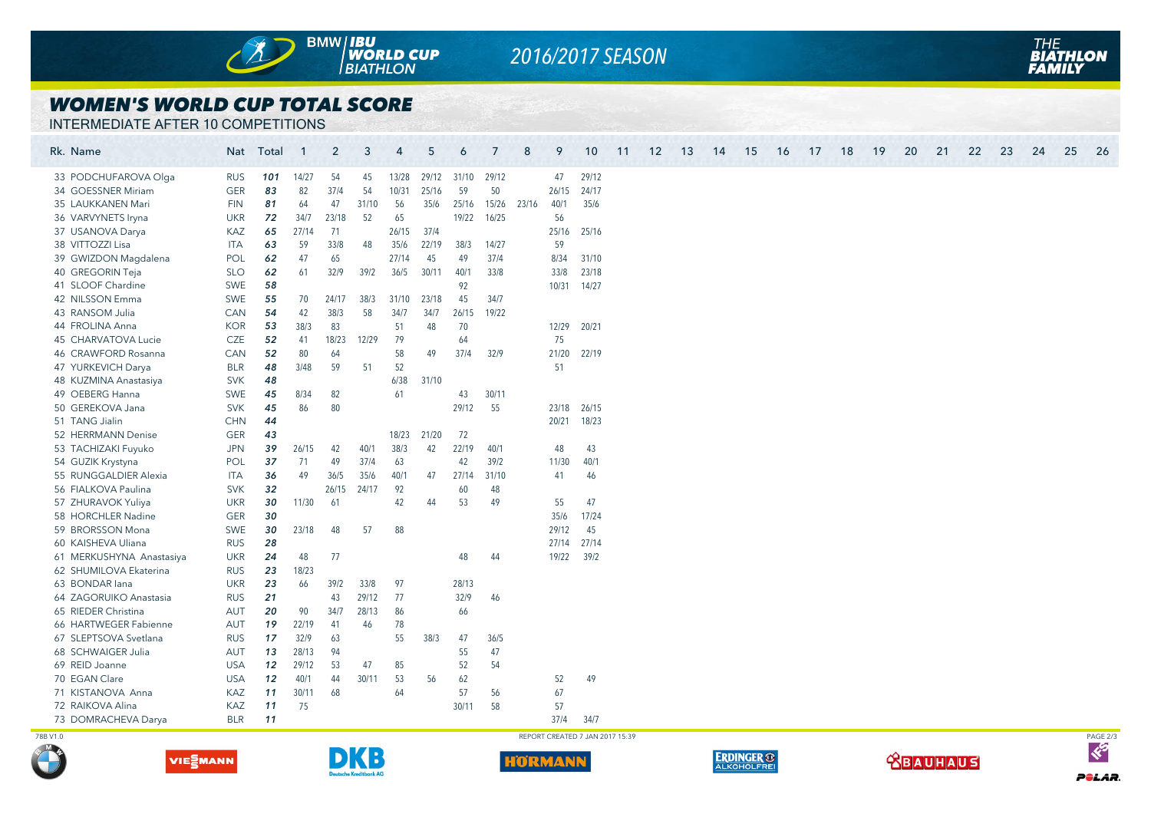

# *2016/2017 SEASON*

### *WOMEN'S WORLD CUP TOTAL SCORE*

INTERMEDIATE AFTER 10 COMPETITIONS

| Rk. Name |                          |            | Nat Total | $\overline{1}$ | $\overline{2}$ | 3     | $\overline{4}$ | 5     | 6     | 7           | 8     | 9           | 10                              | 11 | 12 | 13 | 14 | 15 | 16 | 17 | 18 | 19 | 20 | 21 | 22 | 23 | 24 | 25 | 26       |
|----------|--------------------------|------------|-----------|----------------|----------------|-------|----------------|-------|-------|-------------|-------|-------------|---------------------------------|----|----|----|----|----|----|----|----|----|----|----|----|----|----|----|----------|
|          | 33 PODCHUFAROVA Olga     | <b>RUS</b> | 101       | 14/27          | 54             | 45    | 13/28          | 29/12 |       | 31/10 29/12 |       | 47          | 29/12                           |    |    |    |    |    |    |    |    |    |    |    |    |    |    |    |          |
|          | 34 GOESSNER Miriam       | <b>GER</b> | 83        | 82             | 37/4           | 54    | 10/31          | 25/16 | 59    | 50          |       | 26/15       | 24/17                           |    |    |    |    |    |    |    |    |    |    |    |    |    |    |    |          |
|          | 35 LAUKKANEN Mari        | <b>FIN</b> | 81        | 64             | 47             | 31/10 | 56             | 35/6  | 25/16 | 15/26       | 23/16 | 40/1        | 35/6                            |    |    |    |    |    |    |    |    |    |    |    |    |    |    |    |          |
|          | 36 VARVYNETS Iryna       | <b>UKR</b> | 72        | 34/7           | 23/18          | 52    | 65             |       | 19/22 | 16/25       |       | 56          |                                 |    |    |    |    |    |    |    |    |    |    |    |    |    |    |    |          |
|          | 37 USANOVA Darya         | KAZ        | 65        | 27/14          | 71             |       | 26/15          | 37/4  |       |             |       | 25/16       | 25/16                           |    |    |    |    |    |    |    |    |    |    |    |    |    |    |    |          |
|          | 38 VITTOZZI Lisa         | <b>ITA</b> | 63        | 59             | 33/8           | 48    | 35/6           | 22/19 | 38/3  | 14/27       |       | 59          |                                 |    |    |    |    |    |    |    |    |    |    |    |    |    |    |    |          |
|          | 39 GWIZDON Magdalena     | <b>POL</b> | 62        | 47             | 65             |       | 27/14          | 45    | 49    | 37/4        |       | 8/34        | 31/10                           |    |    |    |    |    |    |    |    |    |    |    |    |    |    |    |          |
|          | 40 GREGORIN Teja         | <b>SLO</b> | 62        | 61             | 32/9           | 39/2  | 36/5           | 30/11 | 40/1  | 33/8        |       | 33/8        | 23/18                           |    |    |    |    |    |    |    |    |    |    |    |    |    |    |    |          |
|          | 41 SLOOF Chardine        | <b>SWE</b> | 58        |                |                |       |                |       | 92    |             |       | 10/31 14/27 |                                 |    |    |    |    |    |    |    |    |    |    |    |    |    |    |    |          |
|          | 42 NILSSON Emma          | <b>SWE</b> | 55        | 70             | 24/17          | 38/3  | 31/10          | 23/18 | 45    | 34/7        |       |             |                                 |    |    |    |    |    |    |    |    |    |    |    |    |    |    |    |          |
|          | 43 RANSOM Julia          | <b>CAN</b> | 54        | 42             | 38/3           | 58    | 34/7           | 34/7  | 26/15 | 19/22       |       |             |                                 |    |    |    |    |    |    |    |    |    |    |    |    |    |    |    |          |
|          | 44 FROLINA Anna          | <b>KOR</b> | 53        | 38/3           | 83             |       | 51             | 48    | 70    |             |       | 12/29       | 20/21                           |    |    |    |    |    |    |    |    |    |    |    |    |    |    |    |          |
|          | 45 CHARVATOVA Lucie      | CZE        | 52        | 41             | 18/23          | 12/29 | 79             |       | 64    |             |       | 75          |                                 |    |    |    |    |    |    |    |    |    |    |    |    |    |    |    |          |
|          | 46 CRAWFORD Rosanna      | CAN        | 52        | 80             | 64             |       | 58             | 49    | 37/4  | 32/9        |       | 21/20       | 22/19                           |    |    |    |    |    |    |    |    |    |    |    |    |    |    |    |          |
|          | 47 YURKEVICH Darya       | <b>BLR</b> | 48        | 3/48           | 59             | 51    | 52             |       |       |             |       | 51          |                                 |    |    |    |    |    |    |    |    |    |    |    |    |    |    |    |          |
|          | 48 KUZMINA Anastasiya    | <b>SVK</b> | 48        |                |                |       | 6/38           | 31/10 |       |             |       |             |                                 |    |    |    |    |    |    |    |    |    |    |    |    |    |    |    |          |
|          | 49 OEBERG Hanna          | SWE        | 45        | 8/34           | 82             |       | 61             |       | 43    | 30/11       |       |             |                                 |    |    |    |    |    |    |    |    |    |    |    |    |    |    |    |          |
|          | 50 GEREKOVA Jana         | <b>SVK</b> | 45        | 86             | 80             |       |                |       | 29/12 | 55          |       | 23/18       | 26/15                           |    |    |    |    |    |    |    |    |    |    |    |    |    |    |    |          |
|          | 51 TANG Jialin           | <b>CHN</b> | 44        |                |                |       |                |       |       |             |       | 20/21       | 18/23                           |    |    |    |    |    |    |    |    |    |    |    |    |    |    |    |          |
|          | 52 HERRMANN Denise       | <b>GER</b> | 43        |                |                |       | 18/23          | 21/20 | 72    |             |       |             |                                 |    |    |    |    |    |    |    |    |    |    |    |    |    |    |    |          |
|          | 53 TACHIZAKI Fuyuko      | <b>JPN</b> | 39        | 26/15          | 42             | 40/1  | 38/3           | 42    | 22/19 | 40/1        |       | 48          | 43                              |    |    |    |    |    |    |    |    |    |    |    |    |    |    |    |          |
|          | 54 GUZIK Krystyna        | POL        | 37        | 71             | 49             | 37/4  | 63             |       | 42    | 39/2        |       | 11/30       | 40/1                            |    |    |    |    |    |    |    |    |    |    |    |    |    |    |    |          |
|          | 55 RUNGGALDIER Alexia    | <b>ITA</b> | 36        | 49             | 36/5           | 35/6  | 40/1           | 47    | 27/14 | 31/10       |       | 41          | 46                              |    |    |    |    |    |    |    |    |    |    |    |    |    |    |    |          |
|          | 56 FIALKOVA Paulina      | <b>SVK</b> | 32        |                | 26/15          | 24/17 | 92             |       | 60    | 48          |       |             |                                 |    |    |    |    |    |    |    |    |    |    |    |    |    |    |    |          |
|          | 57 ZHURAVOK Yuliya       | <b>UKR</b> | 30        | 11/30          | 61             |       | 42             | 44    | 53    | 49          |       | 55          | 47                              |    |    |    |    |    |    |    |    |    |    |    |    |    |    |    |          |
|          | 58 HORCHLER Nadine       | <b>GER</b> | 30        |                |                |       |                |       |       |             |       | 35/6        | 17/24                           |    |    |    |    |    |    |    |    |    |    |    |    |    |    |    |          |
|          | 59 BRORSSON Mona         | <b>SWE</b> | 30        | 23/18          | 48             | 57    | 88             |       |       |             |       | 29/12       | 45                              |    |    |    |    |    |    |    |    |    |    |    |    |    |    |    |          |
|          | 60 KAISHEVA Uliana       | <b>RUS</b> | 28        |                |                |       |                |       |       |             |       | 27/14       | 27/14                           |    |    |    |    |    |    |    |    |    |    |    |    |    |    |    |          |
|          | 61 MERKUSHYNA Anastasiya | <b>UKR</b> | 24        | 48             | 77             |       |                |       | 48    | 44          |       | 19/22       | 39/2                            |    |    |    |    |    |    |    |    |    |    |    |    |    |    |    |          |
|          | 62 SHUMILOVA Ekaterina   | <b>RUS</b> | 23        | 18/23          |                |       |                |       |       |             |       |             |                                 |    |    |    |    |    |    |    |    |    |    |    |    |    |    |    |          |
|          | 63 BONDAR lana           | <b>UKR</b> | 23        | 66             | 39/2           | 33/8  | 97             |       | 28/13 |             |       |             |                                 |    |    |    |    |    |    |    |    |    |    |    |    |    |    |    |          |
|          | 64 ZAGORUIKO Anastasia   | <b>RUS</b> | 21        |                | 43             | 29/12 | 77             |       | 32/9  | 46          |       |             |                                 |    |    |    |    |    |    |    |    |    |    |    |    |    |    |    |          |
|          | 65 RIEDER Christina      | <b>AUT</b> | 20        | 90             | 34/7           | 28/13 | 86             |       | 66    |             |       |             |                                 |    |    |    |    |    |    |    |    |    |    |    |    |    |    |    |          |
|          | 66 HARTWEGER Fabienne    | <b>AUT</b> | 19        | 22/19          | 41             | 46    | 78             |       |       |             |       |             |                                 |    |    |    |    |    |    |    |    |    |    |    |    |    |    |    |          |
|          | 67 SLEPTSOVA Svetlana    | <b>RUS</b> | 17        | 32/9           | 63             |       | 55             | 38/3  | 47    | 36/5        |       |             |                                 |    |    |    |    |    |    |    |    |    |    |    |    |    |    |    |          |
|          | 68 SCHWAIGER Julia       | <b>AUT</b> | 13        | 28/13          | 94             |       |                |       | 55    | 47          |       |             |                                 |    |    |    |    |    |    |    |    |    |    |    |    |    |    |    |          |
|          | 69 REID Joanne           | <b>USA</b> | 12        | 29/12          | 53             | 47    | 85             |       | 52    | 54          |       |             |                                 |    |    |    |    |    |    |    |    |    |    |    |    |    |    |    |          |
|          | 70 EGAN Clare            | <b>USA</b> | 12        | 40/1           | 44             | 30/11 | 53             | 56    | 62    |             |       | 52          | 49                              |    |    |    |    |    |    |    |    |    |    |    |    |    |    |    |          |
|          | 71 KISTANOVA Anna        | KAZ        | 11        | 30/11          | 68             |       | 64             |       | 57    | 56          |       | 67          |                                 |    |    |    |    |    |    |    |    |    |    |    |    |    |    |    |          |
|          | 72 RAIKOVA Alina         | KAZ        | 11        | 75             |                |       |                |       | 30/11 | 58          |       | 57          |                                 |    |    |    |    |    |    |    |    |    |    |    |    |    |    |    |          |
|          | 73 DOMRACHEVA Darya      | <b>BLR</b> | 11        |                |                |       |                |       |       |             |       | 37/4        | 34/7                            |    |    |    |    |    |    |    |    |    |    |    |    |    |    |    |          |
| 78B V1.0 |                          |            |           |                |                |       |                |       |       |             |       |             | REPORT CREATED 7 JAN 2017 15:39 |    |    |    |    |    |    |    |    |    |    |    |    |    |    |    | PAGE 2/3 |







**VIESMANN**